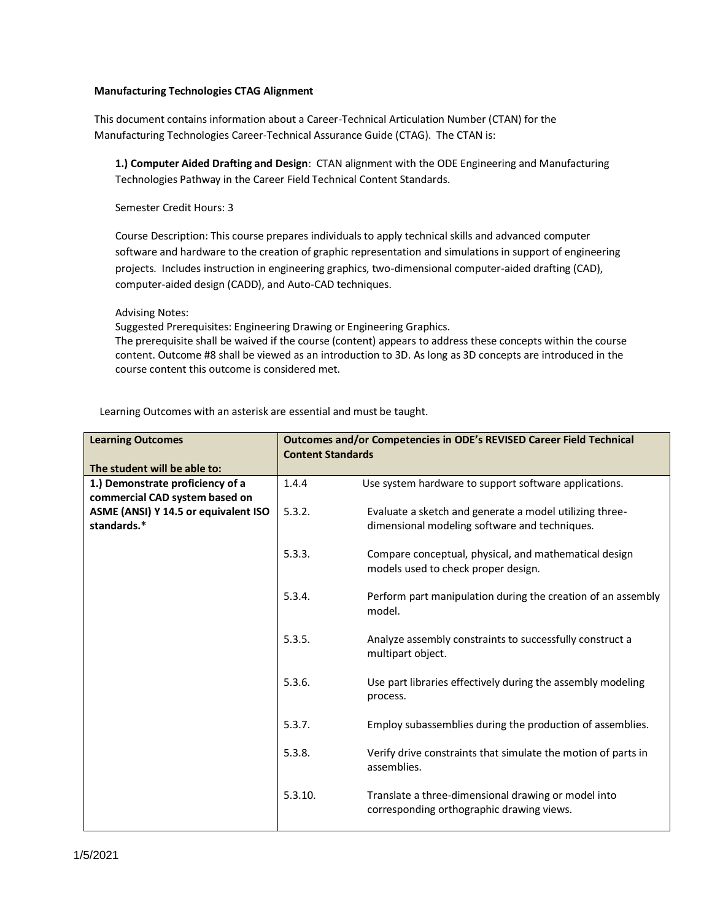## **Manufacturing Technologies CTAG Alignment**

This document contains information about a Career-Technical Articulation Number (CTAN) for the Manufacturing Technologies Career-Technical Assurance Guide (CTAG). The CTAN is:

**1.) Computer Aided Drafting and Design**: CTAN alignment with the ODE Engineering and Manufacturing Technologies Pathway in the Career Field Technical Content Standards.

Semester Credit Hours: 3

Course Description: This course prepares individuals to apply technical skills and advanced computer software and hardware to the creation of graphic representation and simulations in support of engineering projects. Includes instruction in engineering graphics, two-dimensional computer-aided drafting (CAD), computer-aided design (CADD), and Auto-CAD techniques.

Advising Notes:

Suggested Prerequisites: Engineering Drawing or Engineering Graphics.

The prerequisite shall be waived if the course (content) appears to address these concepts within the course content. Outcome #8 shall be viewed as an introduction to 3D. As long as 3D concepts are introduced in the course content this outcome is considered met.

| <b>Learning Outcomes</b><br>The student will be able to: | <b>Content Standards</b> | Outcomes and/or Competencies in ODE's REVISED Career Field Technical |
|----------------------------------------------------------|--------------------------|----------------------------------------------------------------------|
|                                                          |                          |                                                                      |
| 1.) Demonstrate proficiency of a                         | 1.4.4                    | Use system hardware to support software applications.                |
| commercial CAD system based on                           |                          |                                                                      |
| ASME (ANSI) Y 14.5 or equivalent ISO                     | 5.3.2.                   | Evaluate a sketch and generate a model utilizing three-              |
| standards.*                                              |                          | dimensional modeling software and techniques.                        |
|                                                          |                          |                                                                      |
|                                                          | 5.3.3.                   |                                                                      |
|                                                          |                          | Compare conceptual, physical, and mathematical design                |
|                                                          |                          | models used to check proper design.                                  |
|                                                          |                          |                                                                      |
|                                                          | 5.3.4.                   | Perform part manipulation during the creation of an assembly         |
|                                                          |                          | model.                                                               |
|                                                          |                          |                                                                      |
|                                                          | 5.3.5.                   | Analyze assembly constraints to successfully construct a             |
|                                                          |                          |                                                                      |
|                                                          |                          | multipart object.                                                    |
|                                                          |                          |                                                                      |
|                                                          | 5.3.6.                   | Use part libraries effectively during the assembly modeling          |
|                                                          |                          | process.                                                             |
|                                                          |                          |                                                                      |
|                                                          | 5.3.7.                   | Employ subassemblies during the production of assemblies.            |
|                                                          |                          |                                                                      |
|                                                          |                          |                                                                      |
|                                                          | 5.3.8.                   | Verify drive constraints that simulate the motion of parts in        |
|                                                          |                          | assemblies.                                                          |
|                                                          |                          |                                                                      |
|                                                          | 5.3.10.                  | Translate a three-dimensional drawing or model into                  |
|                                                          |                          | corresponding orthographic drawing views.                            |
|                                                          |                          |                                                                      |
|                                                          |                          |                                                                      |

Learning Outcomes with an asterisk are essential and must be taught.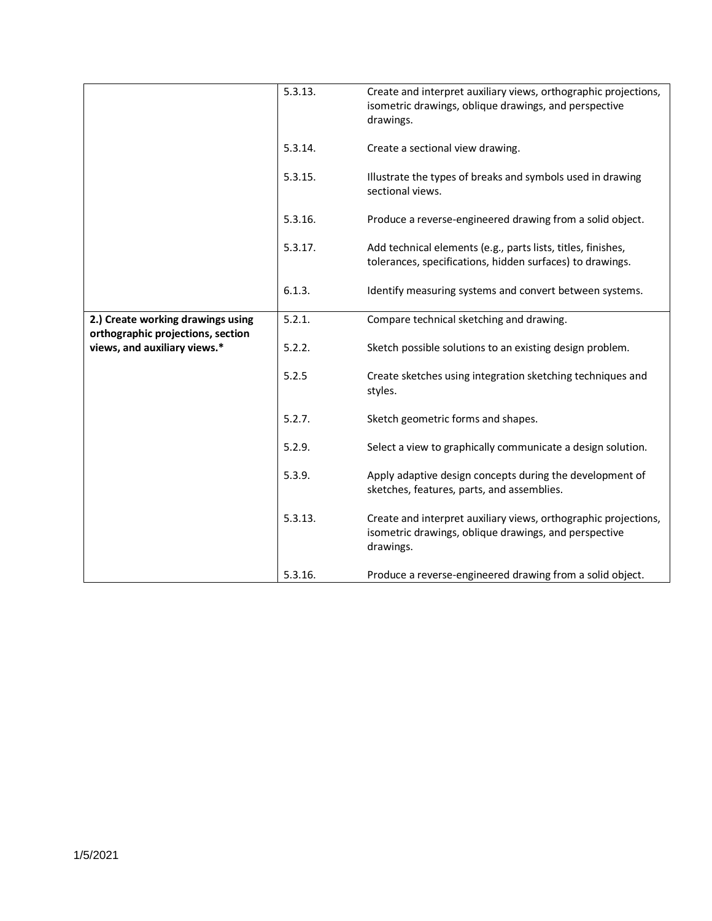|                                   | 5.3.13. | Create and interpret auxiliary views, orthographic projections,<br>isometric drawings, oblique drawings, and perspective<br>drawings. |
|-----------------------------------|---------|---------------------------------------------------------------------------------------------------------------------------------------|
|                                   | 5.3.14. | Create a sectional view drawing.                                                                                                      |
|                                   | 5.3.15. | Illustrate the types of breaks and symbols used in drawing<br>sectional views.                                                        |
|                                   | 5.3.16. | Produce a reverse-engineered drawing from a solid object.                                                                             |
|                                   | 5.3.17. | Add technical elements (e.g., parts lists, titles, finishes,<br>tolerances, specifications, hidden surfaces) to drawings.             |
|                                   | 6.1.3.  | Identify measuring systems and convert between systems.                                                                               |
| 2.) Create working drawings using | 5.2.1.  | Compare technical sketching and drawing.                                                                                              |
| orthographic projections, section |         |                                                                                                                                       |
| views, and auxiliary views.*      | 5.2.2.  | Sketch possible solutions to an existing design problem.                                                                              |
|                                   | 5.2.5   | Create sketches using integration sketching techniques and<br>styles.                                                                 |
|                                   | 5.2.7.  | Sketch geometric forms and shapes.                                                                                                    |
|                                   | 5.2.9.  | Select a view to graphically communicate a design solution.                                                                           |
|                                   | 5.3.9.  | Apply adaptive design concepts during the development of<br>sketches, features, parts, and assemblies.                                |
|                                   | 5.3.13. | Create and interpret auxiliary views, orthographic projections,<br>isometric drawings, oblique drawings, and perspective<br>drawings. |
|                                   | 5.3.16. | Produce a reverse-engineered drawing from a solid object.                                                                             |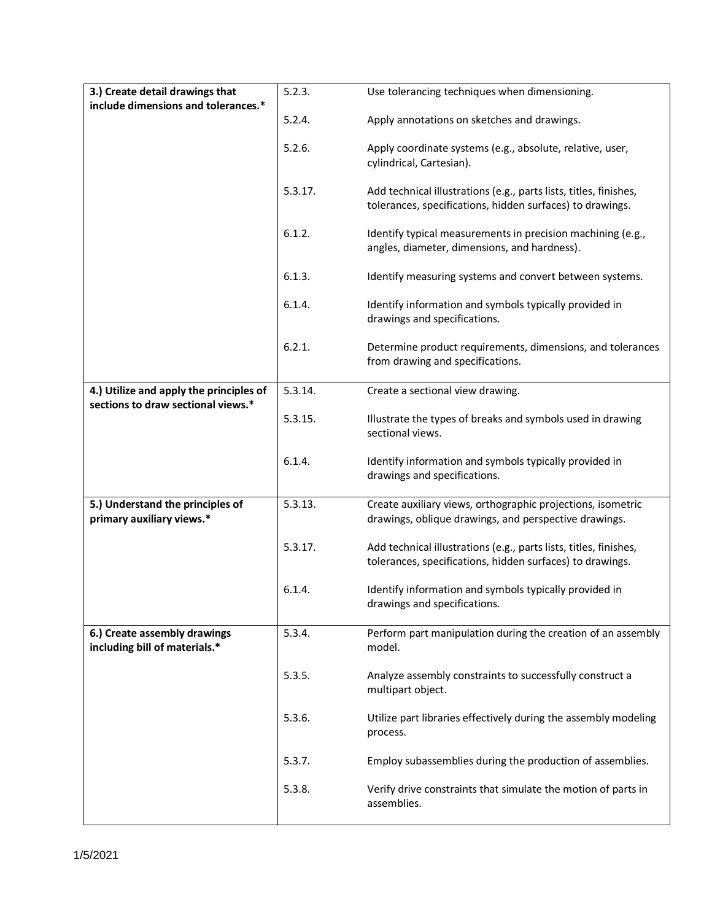| 3.) Create detail drawings that                               | 5.2.3.  | Use tolerancing techniques when dimensioning.                                                                                  |
|---------------------------------------------------------------|---------|--------------------------------------------------------------------------------------------------------------------------------|
| include dimensions and tolerances.*                           | 5.2.4.  | Apply annotations on sketches and drawings.                                                                                    |
|                                                               | 5.2.6.  | Apply coordinate systems (e.g., absolute, relative, user,<br>cylindrical, Cartesian).                                          |
|                                                               | 5.3.17. | Add technical illustrations (e.g., parts lists, titles, finishes,<br>tolerances, specifications, hidden surfaces) to drawings. |
|                                                               | 6.1.2.  | Identify typical measurements in precision machining (e.g.,<br>angles, diameter, dimensions, and hardness).                    |
|                                                               | 6.1.3.  | Identify measuring systems and convert between systems.                                                                        |
|                                                               | 6.1.4.  | Identify information and symbols typically provided in<br>drawings and specifications.                                         |
|                                                               | 6.2.1.  | Determine product requirements, dimensions, and tolerances<br>from drawing and specifications.                                 |
| 4.) Utilize and apply the principles of                       | 5.3.14. | Create a sectional view drawing.                                                                                               |
| sections to draw sectional views.*                            | 5.3.15. | Illustrate the types of breaks and symbols used in drawing<br>sectional views.                                                 |
|                                                               | 6.1.4.  | Identify information and symbols typically provided in<br>drawings and specifications.                                         |
| 5.) Understand the principles of<br>primary auxiliary views.* | 5.3.13. | Create auxiliary views, orthographic projections, isometric<br>drawings, oblique drawings, and perspective drawings.           |
|                                                               | 5.3.17. | Add technical illustrations (e.g., parts lists, titles, finishes,<br>tolerances, specifications, hidden surfaces) to drawings. |
|                                                               | 6.1.4.  | Identify information and symbols typically provided in<br>drawings and specifications.                                         |
| 6.) Create assembly drawings<br>including bill of materials.* | 5.3.4.  | Perform part manipulation during the creation of an assembly<br>model.                                                         |
|                                                               | 5.3.5.  | Analyze assembly constraints to successfully construct a<br>multipart object.                                                  |
|                                                               | 5.3.6.  | Utilize part libraries effectively during the assembly modeling<br>process.                                                    |
|                                                               | 5.3.7.  | Employ subassemblies during the production of assemblies.                                                                      |
|                                                               | 5.3.8.  | Verify drive constraints that simulate the motion of parts in<br>assemblies.                                                   |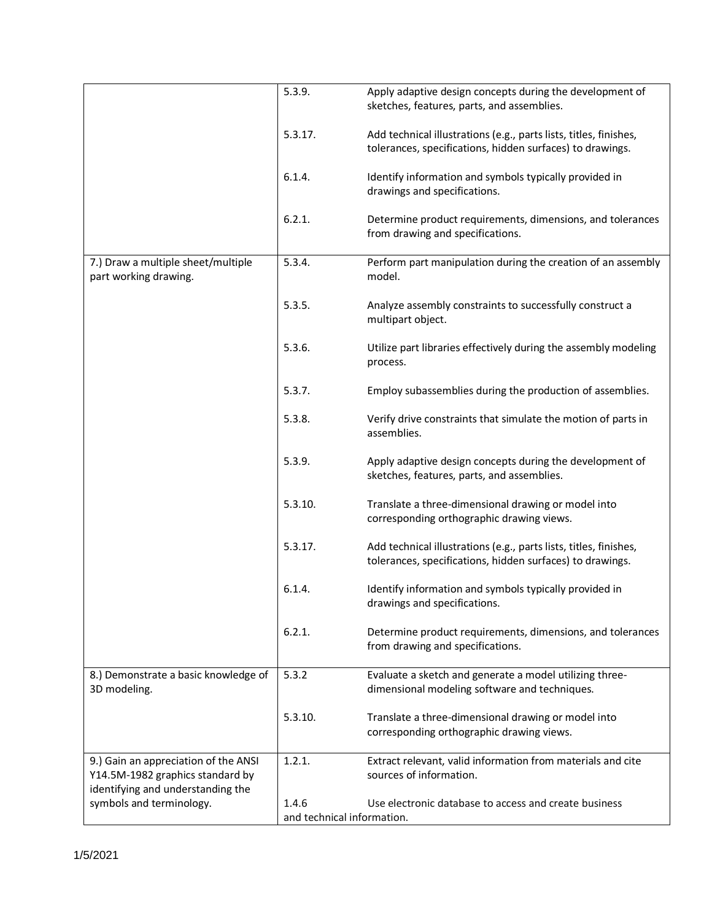|                                                                          | 5.3.9.                              | Apply adaptive design concepts during the development of<br>sketches, features, parts, and assemblies.                         |
|--------------------------------------------------------------------------|-------------------------------------|--------------------------------------------------------------------------------------------------------------------------------|
|                                                                          | 5.3.17.                             | Add technical illustrations (e.g., parts lists, titles, finishes,<br>tolerances, specifications, hidden surfaces) to drawings. |
|                                                                          | 6.1.4.                              | Identify information and symbols typically provided in<br>drawings and specifications.                                         |
|                                                                          | 6.2.1.                              | Determine product requirements, dimensions, and tolerances<br>from drawing and specifications.                                 |
| 7.) Draw a multiple sheet/multiple<br>part working drawing.              | 5.3.4.                              | Perform part manipulation during the creation of an assembly<br>model.                                                         |
|                                                                          | 5.3.5.                              | Analyze assembly constraints to successfully construct a<br>multipart object.                                                  |
|                                                                          | 5.3.6.                              | Utilize part libraries effectively during the assembly modeling<br>process.                                                    |
|                                                                          | 5.3.7.                              | Employ subassemblies during the production of assemblies.                                                                      |
|                                                                          | 5.3.8.                              | Verify drive constraints that simulate the motion of parts in<br>assemblies.                                                   |
|                                                                          | 5.3.9.                              | Apply adaptive design concepts during the development of<br>sketches, features, parts, and assemblies.                         |
|                                                                          | 5.3.10.                             | Translate a three-dimensional drawing or model into<br>corresponding orthographic drawing views.                               |
|                                                                          | 5.3.17.                             | Add technical illustrations (e.g., parts lists, titles, finishes,<br>tolerances, specifications, hidden surfaces) to drawings. |
|                                                                          | 6.1.4.                              | Identify information and symbols typically provided in<br>drawings and specifications.                                         |
|                                                                          | 6.2.1.                              | Determine product requirements, dimensions, and tolerances<br>from drawing and specifications.                                 |
| 8.) Demonstrate a basic knowledge of<br>3D modeling.                     | 5.3.2                               | Evaluate a sketch and generate a model utilizing three-<br>dimensional modeling software and techniques.                       |
|                                                                          | 5.3.10.                             | Translate a three-dimensional drawing or model into<br>corresponding orthographic drawing views.                               |
| 9.) Gain an appreciation of the ANSI<br>Y14.5M-1982 graphics standard by | 1.2.1.                              | Extract relevant, valid information from materials and cite<br>sources of information.                                         |
| identifying and understanding the                                        |                                     |                                                                                                                                |
| symbols and terminology.                                                 | 1.4.6<br>and technical information. | Use electronic database to access and create business                                                                          |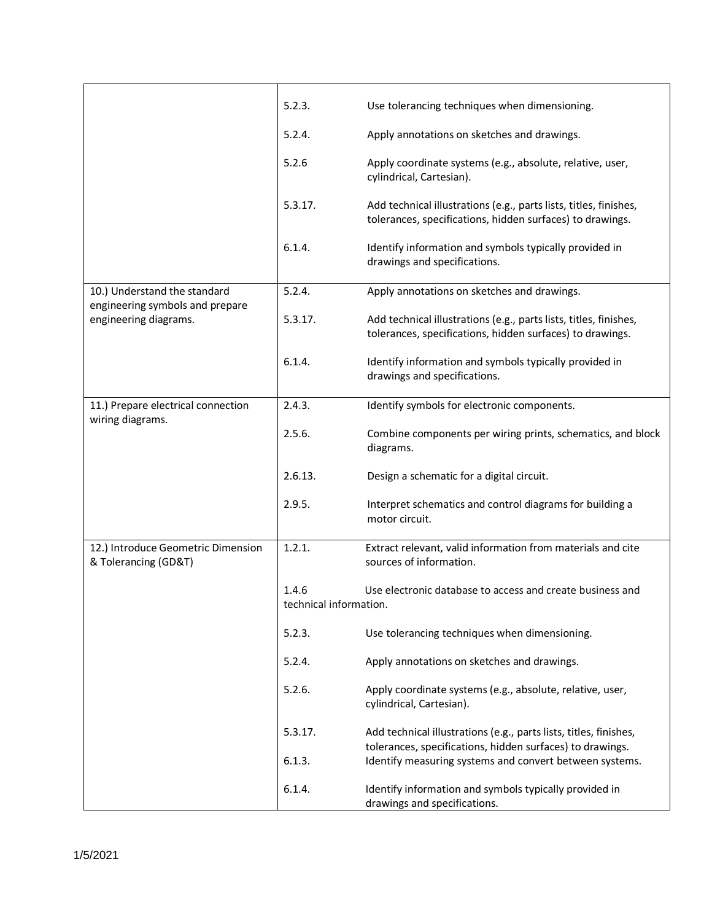|                                                                 | 5.2.3.                          | Use tolerancing techniques when dimensioning.                                                                                  |
|-----------------------------------------------------------------|---------------------------------|--------------------------------------------------------------------------------------------------------------------------------|
|                                                                 | 5.2.4.                          | Apply annotations on sketches and drawings.                                                                                    |
|                                                                 | 5.2.6                           | Apply coordinate systems (e.g., absolute, relative, user,<br>cylindrical, Cartesian).                                          |
|                                                                 | 5.3.17.                         | Add technical illustrations (e.g., parts lists, titles, finishes,<br>tolerances, specifications, hidden surfaces) to drawings. |
|                                                                 | 6.1.4.                          | Identify information and symbols typically provided in<br>drawings and specifications.                                         |
| 10.) Understand the standard<br>engineering symbols and prepare | 5.2.4.                          | Apply annotations on sketches and drawings.                                                                                    |
| engineering diagrams.                                           | 5.3.17.                         | Add technical illustrations (e.g., parts lists, titles, finishes,<br>tolerances, specifications, hidden surfaces) to drawings. |
|                                                                 | 6.1.4.                          | Identify information and symbols typically provided in<br>drawings and specifications.                                         |
| 11.) Prepare electrical connection<br>wiring diagrams.          | 2.4.3.                          | Identify symbols for electronic components.                                                                                    |
|                                                                 | 2.5.6.                          | Combine components per wiring prints, schematics, and block<br>diagrams.                                                       |
|                                                                 | 2.6.13.                         | Design a schematic for a digital circuit.                                                                                      |
|                                                                 | 2.9.5.                          | Interpret schematics and control diagrams for building a<br>motor circuit.                                                     |
| 12.) Introduce Geometric Dimension<br>& Tolerancing (GD&T)      | 1.2.1.                          | Extract relevant, valid information from materials and cite<br>sources of information.                                         |
|                                                                 | 1.4.6<br>technical information. | Use electronic database to access and create business and                                                                      |
|                                                                 | 5.2.3.                          | Use tolerancing techniques when dimensioning.                                                                                  |
|                                                                 | 5.2.4.                          | Apply annotations on sketches and drawings.                                                                                    |
|                                                                 | 5.2.6.                          | Apply coordinate systems (e.g., absolute, relative, user,<br>cylindrical, Cartesian).                                          |
|                                                                 | 5.3.17.                         | Add technical illustrations (e.g., parts lists, titles, finishes,<br>tolerances, specifications, hidden surfaces) to drawings. |
|                                                                 | 6.1.3.                          | Identify measuring systems and convert between systems.                                                                        |
|                                                                 | 6.1.4.                          | Identify information and symbols typically provided in<br>drawings and specifications.                                         |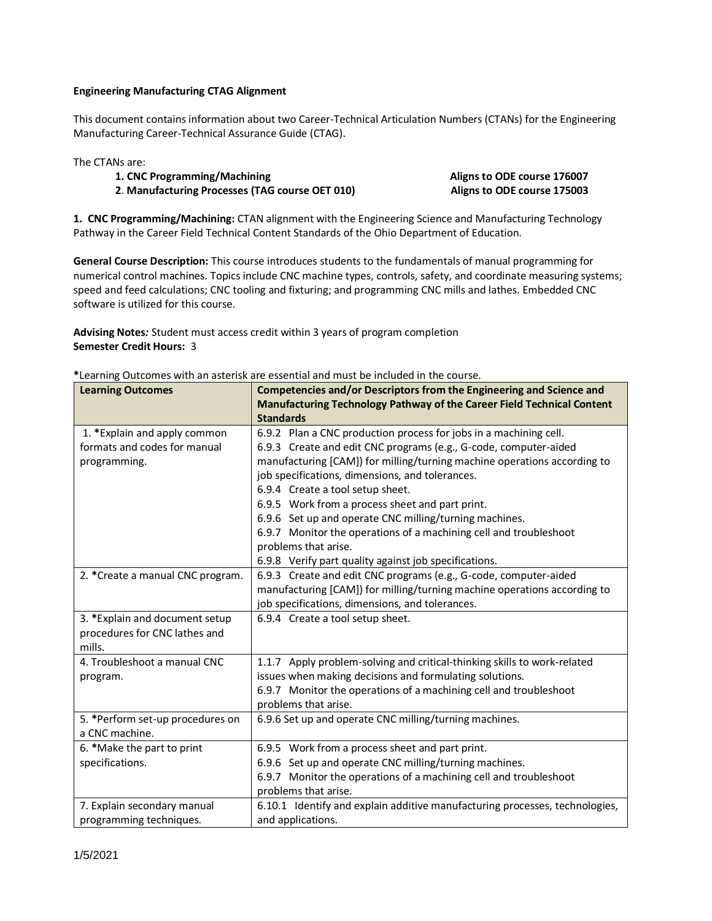## **Engineering Manufacturing CTAG Alignment**

This document contains information about two Career-Technical Articulation Numbers (CTANs) for the Engineering Manufacturing Career-Technical Assurance Guide (CTAG).

The CTANs are:

- **1. CNC Programming/Machining Aligns to ODE course 176007**
- **2**. **Manufacturing Processes (TAG course OET 010) Aligns to ODE course 175003**

**1. CNC Programming/Machining:** CTAN alignment with the Engineering Science and Manufacturing Technology Pathway in the Career Field Technical Content Standards of the Ohio Department of Education.

**General Course Description:** This course introduces students to the fundamentals of manual programming for numerical control machines. Topics include CNC machine types, controls, safety, and coordinate measuring systems; speed and feed calculations; CNC tooling and fixturing; and programming CNC mills and lathes. Embedded CNC software is utilized for this course.

**Advising Notes***:* Student must access credit within 3 years of program completion **Semester Credit Hours:** 3

| <b>Learning Outcomes</b>                                                     | Competencies and/or Descriptors from the Engineering and Science and<br>Manufacturing Technology Pathway of the Career Field Technical Content                                                                                                                                                                                                                                                                                                                                                                     |
|------------------------------------------------------------------------------|--------------------------------------------------------------------------------------------------------------------------------------------------------------------------------------------------------------------------------------------------------------------------------------------------------------------------------------------------------------------------------------------------------------------------------------------------------------------------------------------------------------------|
|                                                                              | <b>Standards</b>                                                                                                                                                                                                                                                                                                                                                                                                                                                                                                   |
| 1. *Explain and apply common<br>formats and codes for manual<br>programming. | 6.9.2 Plan a CNC production process for jobs in a machining cell.<br>6.9.3 Create and edit CNC programs (e.g., G-code, computer-aided<br>manufacturing [CAM]) for milling/turning machine operations according to<br>job specifications, dimensions, and tolerances.<br>6.9.4 Create a tool setup sheet.<br>6.9.5 Work from a process sheet and part print.<br>6.9.6 Set up and operate CNC milling/turning machines.<br>6.9.7 Monitor the operations of a machining cell and troubleshoot<br>problems that arise. |
|                                                                              | 6.9.8 Verify part quality against job specifications.                                                                                                                                                                                                                                                                                                                                                                                                                                                              |
| 2. * Create a manual CNC program.                                            | 6.9.3 Create and edit CNC programs (e.g., G-code, computer-aided<br>manufacturing [CAM]) for milling/turning machine operations according to<br>job specifications, dimensions, and tolerances.                                                                                                                                                                                                                                                                                                                    |
| 3. *Explain and document setup<br>procedures for CNC lathes and<br>mills.    | 6.9.4 Create a tool setup sheet.                                                                                                                                                                                                                                                                                                                                                                                                                                                                                   |
| 4. Troubleshoot a manual CNC<br>program.                                     | 1.1.7 Apply problem-solving and critical-thinking skills to work-related<br>issues when making decisions and formulating solutions.<br>6.9.7 Monitor the operations of a machining cell and troubleshoot<br>problems that arise.                                                                                                                                                                                                                                                                                   |
| 5. *Perform set-up procedures on<br>a CNC machine.                           | 6.9.6 Set up and operate CNC milling/turning machines.                                                                                                                                                                                                                                                                                                                                                                                                                                                             |
| 6. *Make the part to print<br>specifications.                                | 6.9.5 Work from a process sheet and part print.<br>6.9.6 Set up and operate CNC milling/turning machines.<br>6.9.7 Monitor the operations of a machining cell and troubleshoot<br>problems that arise.                                                                                                                                                                                                                                                                                                             |
| 7. Explain secondary manual<br>programming techniques.                       | 6.10.1 Identify and explain additive manufacturing processes, technologies,<br>and applications.                                                                                                                                                                                                                                                                                                                                                                                                                   |

**\***Learning Outcomes with an asterisk are essential and must be included in the course.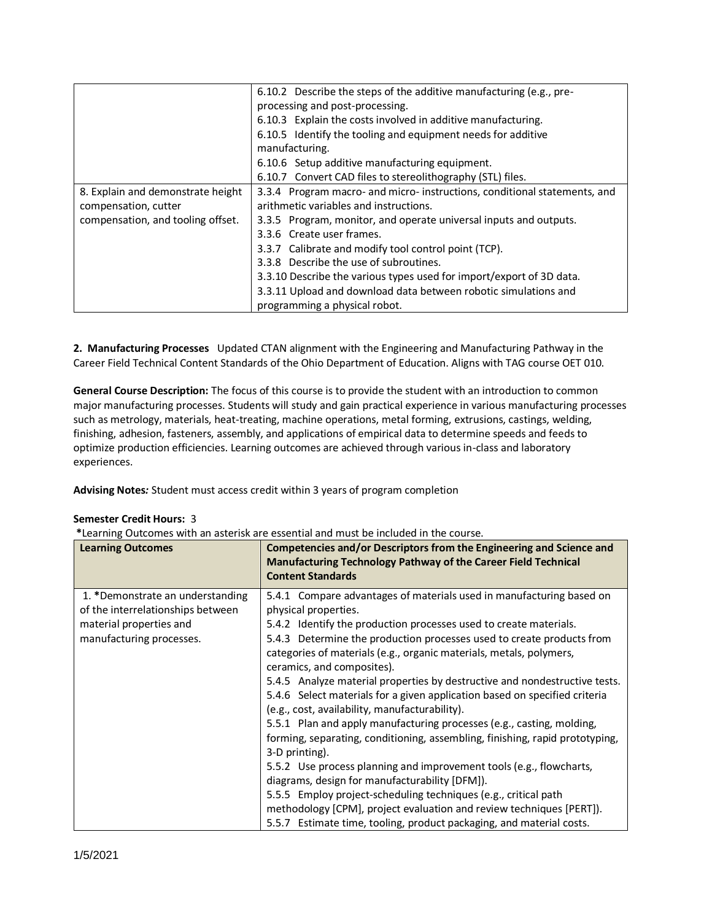|                                   | 6.10.2 Describe the steps of the additive manufacturing (e.g., pre-       |
|-----------------------------------|---------------------------------------------------------------------------|
|                                   | processing and post-processing.                                           |
|                                   | 6.10.3 Explain the costs involved in additive manufacturing.              |
|                                   | 6.10.5 Identify the tooling and equipment needs for additive              |
|                                   | manufacturing.                                                            |
|                                   | 6.10.6 Setup additive manufacturing equipment.                            |
|                                   | 6.10.7 Convert CAD files to stereolithography (STL) files.                |
| 8. Explain and demonstrate height | 3.3.4 Program macro- and micro- instructions, conditional statements, and |
| compensation, cutter              | arithmetic variables and instructions.                                    |
| compensation, and tooling offset. | 3.3.5 Program, monitor, and operate universal inputs and outputs.         |
|                                   | 3.3.6 Create user frames.                                                 |
|                                   | 3.3.7 Calibrate and modify tool control point (TCP).                      |
|                                   | 3.3.8 Describe the use of subroutines.                                    |
|                                   | 3.3.10 Describe the various types used for import/export of 3D data.      |
|                                   | 3.3.11 Upload and download data between robotic simulations and           |
|                                   | programming a physical robot.                                             |

**2. Manufacturing Processes** Updated CTAN alignment with the Engineering and Manufacturing Pathway in the Career Field Technical Content Standards of the Ohio Department of Education. Aligns with TAG course OET 010.

**General Course Description:** The focus of this course is to provide the student with an introduction to common major manufacturing processes. Students will study and gain practical experience in various manufacturing processes such as metrology, materials, heat-treating, machine operations, metal forming, extrusions, castings, welding, finishing, adhesion, fasteners, assembly, and applications of empirical data to determine speeds and feeds to optimize production efficiencies. Learning outcomes are achieved through various in-class and laboratory experiences.

**Advising Notes***:* Student must access credit within 3 years of program completion

## **Semester Credit Hours:** 3

**\***Learning Outcomes with an asterisk are essential and must be included in the course.

| <b>Learning Outcomes</b>                                                                                                     | Competencies and/or Descriptors from the Engineering and Science and<br>Manufacturing Technology Pathway of the Career Field Technical<br><b>Content Standards</b>                                                                                                                                                                                                                                                                                                                                                                                                                                                                                                                                                                                                                                                                                                                                                                                                                                                                                                                   |
|------------------------------------------------------------------------------------------------------------------------------|--------------------------------------------------------------------------------------------------------------------------------------------------------------------------------------------------------------------------------------------------------------------------------------------------------------------------------------------------------------------------------------------------------------------------------------------------------------------------------------------------------------------------------------------------------------------------------------------------------------------------------------------------------------------------------------------------------------------------------------------------------------------------------------------------------------------------------------------------------------------------------------------------------------------------------------------------------------------------------------------------------------------------------------------------------------------------------------|
| 1. *Demonstrate an understanding<br>of the interrelationships between<br>material properties and<br>manufacturing processes. | 5.4.1 Compare advantages of materials used in manufacturing based on<br>physical properties.<br>5.4.2 Identify the production processes used to create materials.<br>5.4.3 Determine the production processes used to create products from<br>categories of materials (e.g., organic materials, metals, polymers,<br>ceramics, and composites).<br>5.4.5 Analyze material properties by destructive and nondestructive tests.<br>5.4.6 Select materials for a given application based on specified criteria<br>(e.g., cost, availability, manufacturability).<br>5.5.1 Plan and apply manufacturing processes (e.g., casting, molding,<br>forming, separating, conditioning, assembling, finishing, rapid prototyping,<br>3-D printing).<br>5.5.2 Use process planning and improvement tools (e.g., flowcharts,<br>diagrams, design for manufacturability [DFM]).<br>5.5.5 Employ project-scheduling techniques (e.g., critical path<br>methodology [CPM], project evaluation and review techniques [PERT]).<br>5.5.7 Estimate time, tooling, product packaging, and material costs. |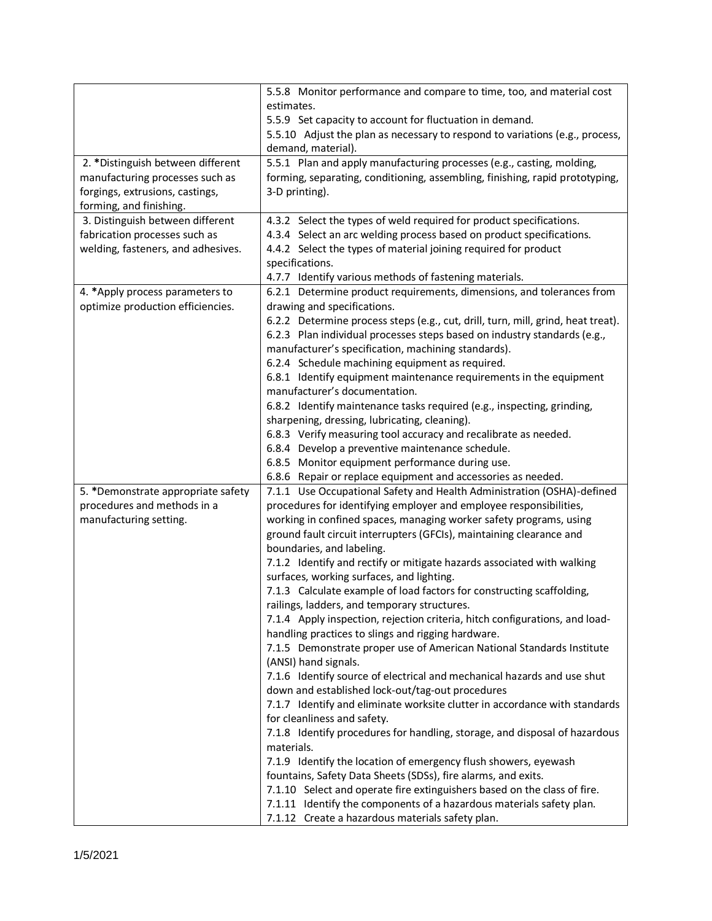|                                    | 5.5.8 Monitor performance and compare to time, too, and material cost                                                           |
|------------------------------------|---------------------------------------------------------------------------------------------------------------------------------|
|                                    | estimates.                                                                                                                      |
|                                    | 5.5.9 Set capacity to account for fluctuation in demand.                                                                        |
|                                    | 5.5.10 Adjust the plan as necessary to respond to variations (e.g., process,                                                    |
|                                    | demand, material).                                                                                                              |
| 2. * Distinguish between different | 5.5.1 Plan and apply manufacturing processes (e.g., casting, molding,                                                           |
| manufacturing processes such as    | forming, separating, conditioning, assembling, finishing, rapid prototyping,                                                    |
| forgings, extrusions, castings,    | 3-D printing).                                                                                                                  |
| forming, and finishing.            |                                                                                                                                 |
| 3. Distinguish between different   | 4.3.2 Select the types of weld required for product specifications.                                                             |
| fabrication processes such as      | 4.3.4 Select an arc welding process based on product specifications.                                                            |
| welding, fasteners, and adhesives. | 4.4.2 Select the types of material joining required for product                                                                 |
|                                    | specifications.                                                                                                                 |
|                                    | 4.7.7 Identify various methods of fastening materials.                                                                          |
| 4. * Apply process parameters to   | 6.2.1 Determine product requirements, dimensions, and tolerances from                                                           |
| optimize production efficiencies.  | drawing and specifications.                                                                                                     |
|                                    | 6.2.2 Determine process steps (e.g., cut, drill, turn, mill, grind, heat treat).                                                |
|                                    | 6.2.3 Plan individual processes steps based on industry standards (e.g.,<br>manufacturer's specification, machining standards). |
|                                    |                                                                                                                                 |
|                                    | 6.2.4 Schedule machining equipment as required.<br>6.8.1 Identify equipment maintenance requirements in the equipment           |
|                                    | manufacturer's documentation.                                                                                                   |
|                                    | 6.8.2 Identify maintenance tasks required (e.g., inspecting, grinding,                                                          |
|                                    | sharpening, dressing, lubricating, cleaning).                                                                                   |
|                                    | 6.8.3 Verify measuring tool accuracy and recalibrate as needed.                                                                 |
|                                    | 6.8.4 Develop a preventive maintenance schedule.                                                                                |
|                                    | 6.8.5 Monitor equipment performance during use.                                                                                 |
|                                    | 6.8.6 Repair or replace equipment and accessories as needed.                                                                    |
| 5. *Demonstrate appropriate safety | 7.1.1 Use Occupational Safety and Health Administration (OSHA)-defined                                                          |
| procedures and methods in a        | procedures for identifying employer and employee responsibilities,                                                              |
| manufacturing setting.             | working in confined spaces, managing worker safety programs, using                                                              |
|                                    | ground fault circuit interrupters (GFCIs), maintaining clearance and                                                            |
|                                    | boundaries, and labeling.                                                                                                       |
|                                    | 7.1.2 Identify and rectify or mitigate hazards associated with walking                                                          |
|                                    | surfaces, working surfaces, and lighting.                                                                                       |
|                                    | 7.1.3 Calculate example of load factors for constructing scaffolding,                                                           |
|                                    | railings, ladders, and temporary structures.                                                                                    |
|                                    | 7.1.4 Apply inspection, rejection criteria, hitch configurations, and load-                                                     |
|                                    | handling practices to slings and rigging hardware.                                                                              |
|                                    | 7.1.5 Demonstrate proper use of American National Standards Institute                                                           |
|                                    | (ANSI) hand signals.<br>7.1.6 Identify source of electrical and mechanical hazards and use shut                                 |
|                                    | down and established lock-out/tag-out procedures                                                                                |
|                                    | 7.1.7 Identify and eliminate worksite clutter in accordance with standards                                                      |
|                                    | for cleanliness and safety.                                                                                                     |
|                                    | 7.1.8 Identify procedures for handling, storage, and disposal of hazardous                                                      |
|                                    | materials.                                                                                                                      |
|                                    | 7.1.9 Identify the location of emergency flush showers, eyewash                                                                 |
|                                    | fountains, Safety Data Sheets (SDSs), fire alarms, and exits.                                                                   |
|                                    | 7.1.10 Select and operate fire extinguishers based on the class of fire.                                                        |
|                                    | 7.1.11 Identify the components of a hazardous materials safety plan.                                                            |
|                                    | 7.1.12 Create a hazardous materials safety plan.                                                                                |
|                                    |                                                                                                                                 |